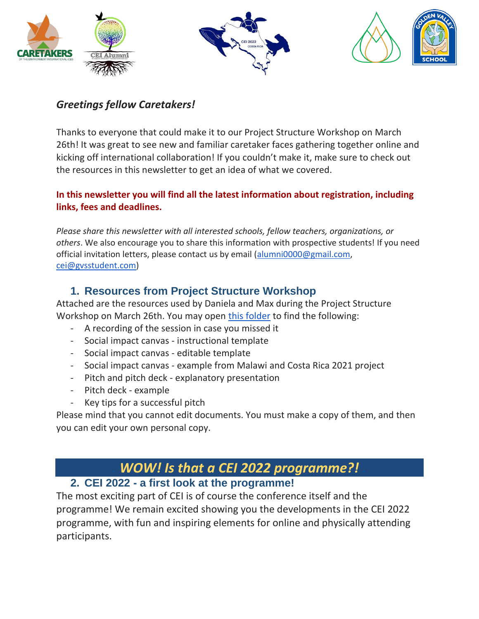





# *Greetings fellow Caretakers!*

Thanks to everyone that could make it to our Project Structure Workshop on March 26th! It was great to see new and familiar caretaker faces gathering together online and kicking off international collaboration! If you couldn't make it, make sure to check out the resources in this newsletter to get an idea of what we covered.

#### **In this newsletter you will find all the latest information about registration, including links, fees and deadlines.**

*Please share this newsletter with all interested schools, fellow teachers, organizations, or others*. We also encourage you to share this information with prospective students! If you need official invitation letters, please contact us by email [\(alumni0000@gmail.com,](mailto:alumni0000@gmail.com) [cei@gvsstudent.com\)](mailto:cei@gvsstudent.com)

# **1. Resources from Project Structure Workshop**

Attached are the resources used by Daniela and Max during the Project Structure Workshop on March 26th. You may open [this folder](https://drive.google.com/drive/folders/1TsCbRqZJVHWIIoSP6yhcA67lGyNOO3wh) to find the following:

- A recording of the session in case you missed it
- Social impact canvas instructional template
- Social impact canvas editable template
- Social impact canvas example from Malawi and Costa Rica 2021 project
- Pitch and pitch deck explanatory presentation
- Pitch deck example
- Key tips for a successful pitch

Please mind that you cannot edit documents. You must make a copy of them, and then you can edit your own personal copy.

# *. WOW! Is that a CEI 2022 programme?! .*

# **2. CEI 2022 - a first look at the programme!**

The most exciting part of CEI is of course the conference itself and the programme! We remain excited showing you the developments in the CEI 2022 programme, with fun and inspiring elements for online and physically attending participants.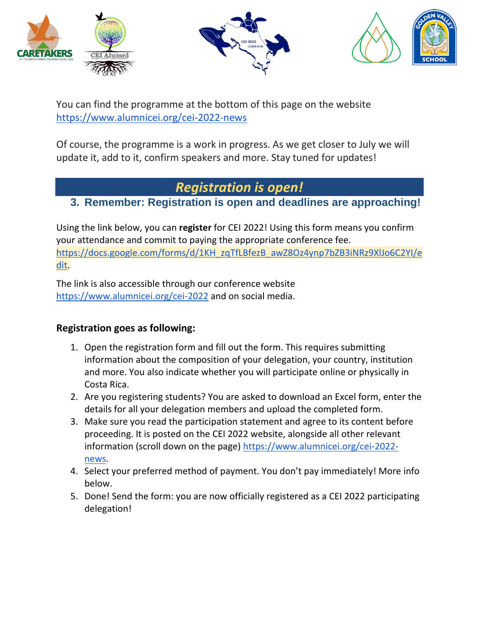





You can find the programme at the bottom of this page on the website <https://www.alumnicei.org/cei-2022-news>

Of course, the programme is a work in progress. As we get closer to July we will update it, add to it, confirm speakers and more. Stay tuned for updates!

# *. Registration is open! .*

# **3. Remember: Registration is open and deadlines are approaching!**

Using the link below, you can **register** for CEI 2022! Using this form means you confirm your attendance and commit to paying the appropriate conference fee. [https://docs.google.com/forms/d/1KH\\_zqTfLBfezB\\_awZ8Oz4ynp7bZB3iNRz9XlJo6C2YI/e](https://docs.google.com/forms/d/1KH_zqTfLBfezB_awZ8Oz4ynp7bZB3iNRz9XlJo6C2YI/edit) [dit.](https://docs.google.com/forms/d/1KH_zqTfLBfezB_awZ8Oz4ynp7bZB3iNRz9XlJo6C2YI/edit)

The link is also accessible through our conference website <https://www.alumnicei.org/cei-2022> and on social media.

# **Registration goes as following:**

- 1. Open the registration form and fill out the form. This requires submitting information about the composition of your delegation, your country, institution and more. You also indicate whether you will participate online or physically in Costa Rica.
- 2. Are you registering students? You are asked to download an Excel form, enter the details for all your delegation members and upload the completed form.
- 3. Make sure you read the participation statement and agree to its content before proceeding. It is posted on the CEI 2022 website, alongside all other relevant information (scroll down on the page) [https://www.alumnicei.org/cei-2022](https://www.alumnicei.org/cei-2022-news) [news.](https://www.alumnicei.org/cei-2022-news)
- 4. Select your preferred method of payment. You don't pay immediately! More info below.
- 5. Done! Send the form: you are now officially registered as a CEI 2022 participating delegation!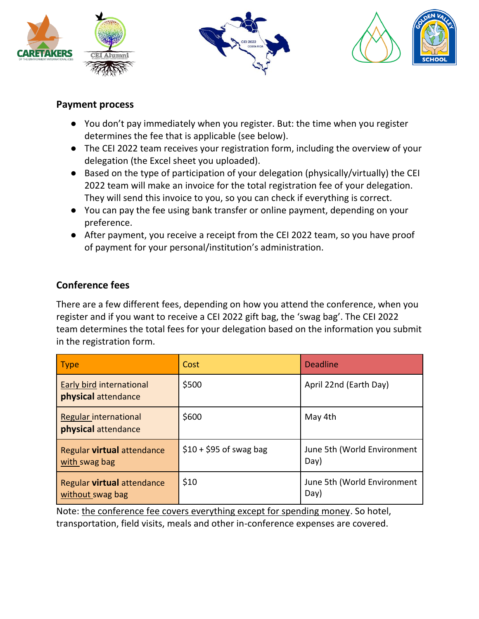





#### **Payment process**

- You don't pay immediately when you register. But: the time when you register determines the fee that is applicable (see below).
- The CEI 2022 team receives your registration form, including the overview of your delegation (the Excel sheet you uploaded).
- Based on the type of participation of your delegation (physically/virtually) the CEI 2022 team will make an invoice for the total registration fee of your delegation. They will send this invoice to you, so you can check if everything is correct.
- You can pay the fee using bank transfer or online payment, depending on your preference.
- After payment, you receive a receipt from the CEI 2022 team, so you have proof of payment for your personal/institution's administration.

# **Conference fees**

There are a few different fees, depending on how you attend the conference, when you register and if you want to receive a CEI 2022 gift bag, the 'swag bag'. The CEI 2022 team determines the total fees for your delegation based on the information you submit in the registration form.

| $ $ Type                                           | Cost                    | <b>Deadline</b>                     |
|----------------------------------------------------|-------------------------|-------------------------------------|
| Early bird international<br>physical attendance    | \$500                   | April 22nd (Earth Day)              |
| Regular international<br>physical attendance       | \$600                   | May 4th                             |
| Regular <b>virtual</b> attendance<br>with swag bag | $$10 + $95$ of swag bag | June 5th (World Environment<br>Day) |
| Regular virtual attendance<br>without swag bag     | \$10                    | June 5th (World Environment<br>Day) |

Note: the conference fee covers everything except for spending money. So hotel,

transportation, field visits, meals and other in-conference expenses are covered.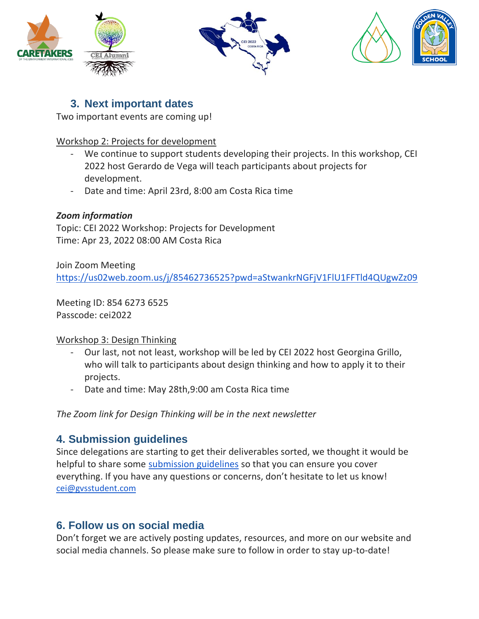





# **3. Next important dates**

Two important events are coming up!

#### Workshop 2: Projects for development

- We continue to support students developing their projects. In this workshop, CEI 2022 host Gerardo de Vega will teach participants about projects for development.
- Date and time: April 23rd, 8:00 am Costa Rica time

#### *Zoom information*

Topic: CEI 2022 Workshop: Projects for Development Time: Apr 23, 2022 08:00 AM Costa Rica

Join Zoom Meeting

<https://us02web.zoom.us/j/85462736525?pwd=aStwankrNGFjV1FlU1FFTld4QUgwZz09>

Meeting ID: 854 6273 6525 Passcode: cei2022

#### Workshop 3: Design Thinking

- Our last, not not least, workshop will be led by CEI 2022 host Georgina Grillo, who will talk to participants about design thinking and how to apply it to their projects.
- Date and time: May 28th, 9:00 am Costa Rica time

*The Zoom link for Design Thinking will be in the next newsletter*

# **4. Submission guidelines**

Since delegations are starting to get their deliverables sorted, we thought it would be helpful to share some [submission guidelines](https://docs.google.com/document/d/10o3VrH-Hjxni8elULqcsyH_Db73eotruoKEuRy4zZYs/edit) so that you can ensure you cover everything. If you have any questions or concerns, don't hesitate to let us know! [cei@gvsstudent.com](mailto:cei@gvsstudent.com)

# **6. Follow us on social media**

Don't forget we are actively posting updates, resources, and more on our website and social media channels. So please make sure to follow in order to stay up-to-date!